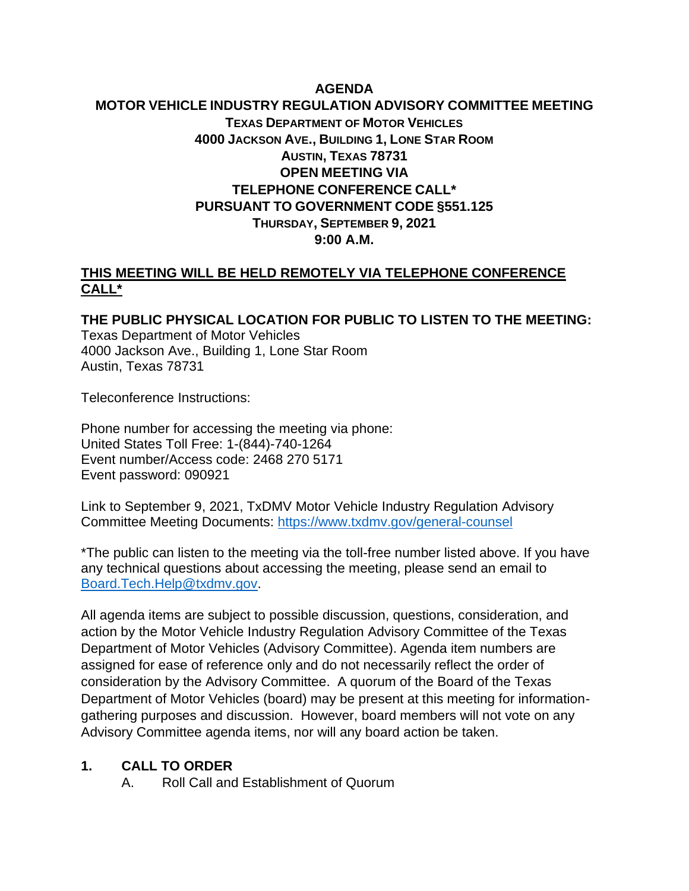# **AGENDA MOTOR VEHICLE INDUSTRY REGULATION ADVISORY COMMITTEE MEETING TEXAS DEPARTMENT OF MOTOR VEHICLES 4000 JACKSON AVE., BUILDING 1, LONE STAR ROOM AUSTIN, TEXAS 78731 OPEN MEETING VIA TELEPHONE CONFERENCE CALL\* PURSUANT TO GOVERNMENT CODE §551.125 THURSDAY, SEPTEMBER 9, 2021 9:00 A.M.**

### **THIS MEETING WILL BE HELD REMOTELY VIA TELEPHONE CONFERENCE CALL\***

**THE PUBLIC PHYSICAL LOCATION FOR PUBLIC TO LISTEN TO THE MEETING:** Texas Department of Motor Vehicles 4000 Jackson Ave., Building 1, Lone Star Room Austin, Texas 78731

Teleconference Instructions:

Phone number for accessing the meeting via phone: United States Toll Free: 1-(844)-740-1264 Event number/Access code: 2468 270 5171 Event password: 090921

Link to September 9, 2021, TxDMV Motor Vehicle Industry Regulation Advisory Committee Meeting Documents:<https://www.txdmv.gov/general-counsel>

\*The public can listen to the meeting via the toll-free number listed above. If you have any technical questions about accessing the meeting, please send an email to [Board.Tech.Help@txdmv.gov.](mailto:Board.Tech.Help@txdmv.gov.)

All agenda items are subject to possible discussion, questions, consideration, and action by the Motor Vehicle Industry Regulation Advisory Committee of the Texas Department of Motor Vehicles (Advisory Committee). Agenda item numbers are assigned for ease of reference only and do not necessarily reflect the order of consideration by the Advisory Committee. A quorum of the Board of the Texas Department of Motor Vehicles (board) may be present at this meeting for informationgathering purposes and discussion. However, board members will not vote on any Advisory Committee agenda items, nor will any board action be taken.

#### **1. CALL TO ORDER**

A. Roll Call and Establishment of Quorum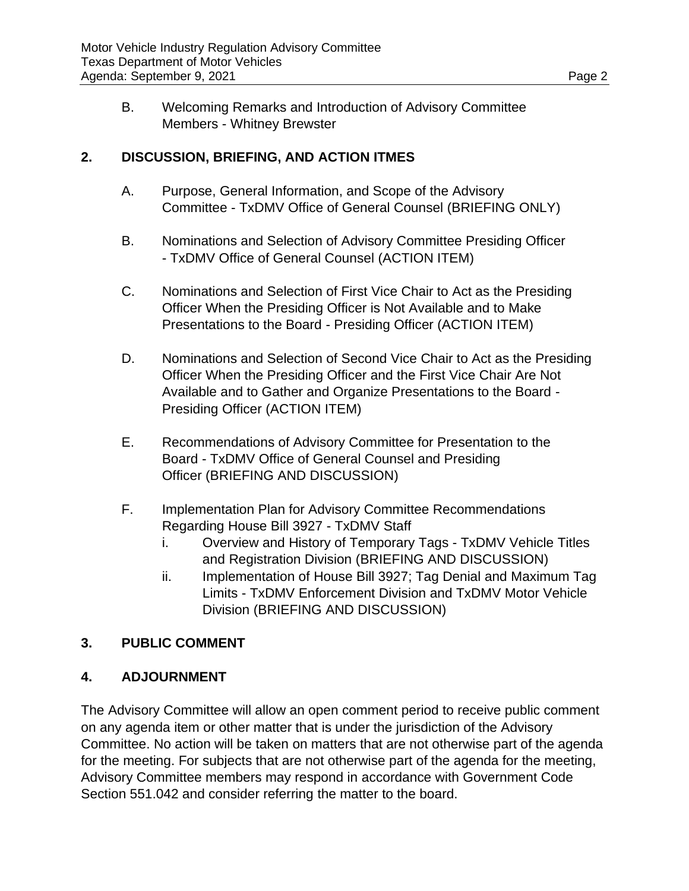B. Welcoming Remarks and Introduction of Advisory Committee Members - Whitney Brewster

### **2. DISCUSSION, BRIEFING, AND ACTION ITMES**

- A. Purpose, General Information, and Scope of the Advisory Committee - TxDMV Office of General Counsel (BRIEFING ONLY)
- B. Nominations and Selection of Advisory Committee Presiding Officer - TxDMV Office of General Counsel (ACTION ITEM)
- C. Nominations and Selection of First Vice Chair to Act as the Presiding Officer When the Presiding Officer is Not Available and to Make Presentations to the Board - Presiding Officer (ACTION ITEM)
- D. Nominations and Selection of Second Vice Chair to Act as the Presiding Officer When the Presiding Officer and the First Vice Chair Are Not Available and to Gather and Organize Presentations to the Board - Presiding Officer (ACTION ITEM)
- E. Recommendations of Advisory Committee for Presentation to the Board - TxDMV Office of General Counsel and Presiding Officer (BRIEFING AND DISCUSSION)
- F. Implementation Plan for Advisory Committee Recommendations Regarding House Bill 3927 - TxDMV Staff
	- i. Overview and History of Temporary Tags TxDMV Vehicle Titles and Registration Division (BRIEFING AND DISCUSSION)
	- ii. Implementation of House Bill 3927; Tag Denial and Maximum Tag Limits - TxDMV Enforcement Division and TxDMV Motor Vehicle Division (BRIEFING AND DISCUSSION)

# **3. PUBLIC COMMENT**

# **4. ADJOURNMENT**

The Advisory Committee will allow an open comment period to receive public comment on any agenda item or other matter that is under the jurisdiction of the Advisory Committee. No action will be taken on matters that are not otherwise part of the agenda for the meeting. For subjects that are not otherwise part of the agenda for the meeting, Advisory Committee members may respond in accordance with Government Code Section 551.042 and consider referring the matter to the board.